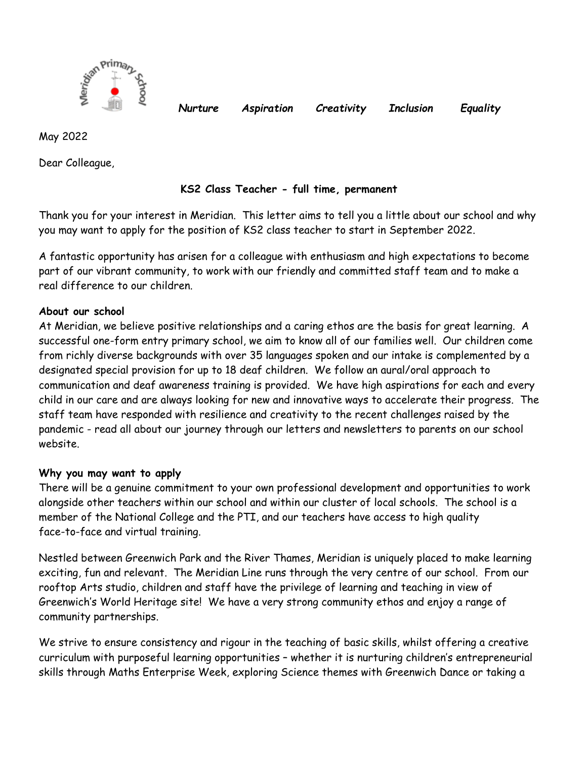

*Nurture Aspiration Creativity Inclusion Equality*

May 2022

Dear Colleague,

# **KS2 Class Teacher - full time, permanent**

Thank you for your interest in Meridian. This letter aims to tell you a little about our school and why you may want to apply for the position of KS2 class teacher to start in September 2022.

A fantastic opportunity has arisen for a colleague with enthusiasm and high expectations to become part of our vibrant community, to work with our friendly and committed staff team and to make a real difference to our children.

# **About our school**

At Meridian, we believe positive relationships and a caring ethos are the basis for great learning. A successful one-form entry primary school, we aim to know all of our families well. Our children come from richly diverse backgrounds with over 35 languages spoken and our intake is complemented by a designated special provision for up to 18 deaf children. We follow an aural/oral approach to communication and deaf awareness training is provided. We have high aspirations for each and every child in our care and are always looking for new and innovative ways to accelerate their progress. The staff team have responded with resilience and creativity to the recent challenges raised by the pandemic - read all about our journey through our letters and newsletters to parents on our school website.

## **Why you may want to apply**

There will be a genuine commitment to your own professional development and opportunities to work alongside other teachers within our school and within our cluster of local schools. The school is a member of the National College and the PTI, and our teachers have access to high quality face-to-face and virtual training.

Nestled between Greenwich Park and the River Thames, Meridian is uniquely placed to make learning exciting, fun and relevant. The Meridian Line runs through the very centre of our school. From our rooftop Arts studio, children and staff have the privilege of learning and teaching in view of Greenwich's World Heritage site! We have a very strong community ethos and enjoy a range of community partnerships.

We strive to ensure consistency and rigour in the teaching of basic skills, whilst offering a creative curriculum with purposeful learning opportunities – whether it is nurturing children's entrepreneurial skills through Maths Enterprise Week, exploring Science themes with Greenwich Dance or taking a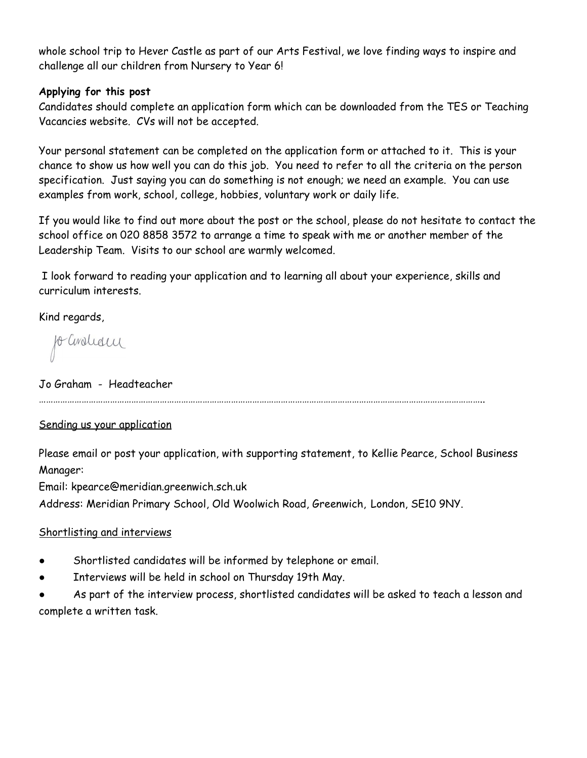whole school trip to Hever Castle as part of our Arts Festival, we love finding ways to inspire and challenge all our children from Nursery to Year 6!

### **Applying for this post**

Candidates should complete an application form which can be downloaded from the TES or Teaching Vacancies website. CVs will not be accepted.

Your personal statement can be completed on the application form or attached to it. This is your chance to show us how well you can do this job. You need to refer to all the criteria on the person specification. Just saying you can do something is not enough; we need an example. You can use examples from work, school, college, hobbies, voluntary work or daily life.

If you would like to find out more about the post or the school, please do not hesitate to contact the school office on 020 8858 3572 to arrange a time to speak with me or another member of the Leadership Team. Visits to our school are warmly welcomed.

I look forward to reading your application and to learning all about your experience, skills and curriculum interests.

Kind regards,

fo avolida

Jo Graham - Headteacher

……………………………………………………………………………………………………………………………………………………………………..

## Sending us your application

Please email or post your application, with supporting statement, to Kellie Pearce, School Business Manager:

Email: kpearce@meridian.greenwich.sch.uk

Address: Meridian Primary School, Old Woolwich Road, Greenwich, London, SE10 9NY.

## Shortlisting and interviews

- Shortlisted candidates will be informed by telephone or email.
- Interviews will be held in school on Thursday 19th May.
- As part of the interview process, shortlisted candidates will be asked to teach a lesson and complete a written task.